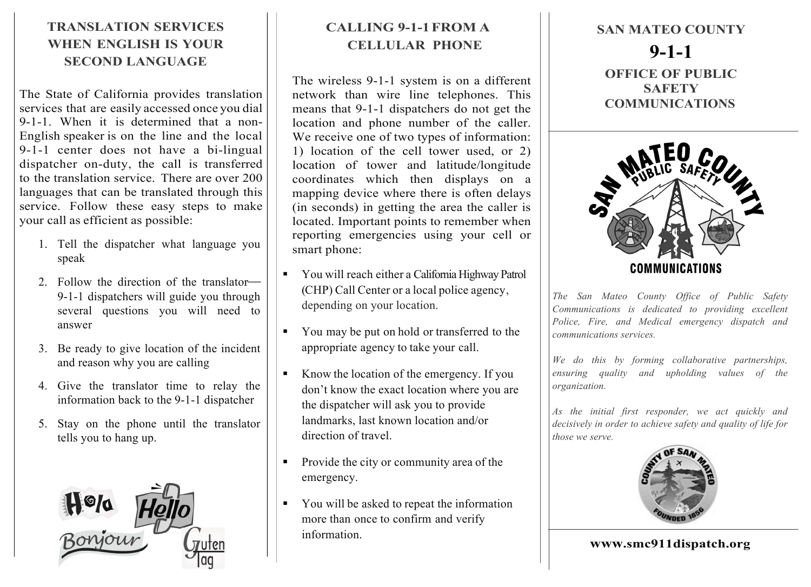## **TRANSLATION SERVICES WHEN ENGLISH IS YOUR SECOND LANGUAGE**

The State of California provides translation services that are easily accessed once you dial 9-1-1. When it is determined that a non-English speaker is on the line and the local 9-1-1 center does not have a bi-lingual dispatcher on-duty, the call is transferred to the translation service. There are over 200 languages that can be translated through this service. Follow these easy steps to make your call as efficient as possible:

- 1. Tell the dispatcher what language you speak
- 2. Follow the direction of the translator-9-1-1 dispatchers will guide you through several questions you will need to answer
- 3. Be ready to give location of the incident and reason why you are calling
- 4. Give the translator time to relay the information back to the 9-1-1 dispatcher
- 5. Stay on the phone until the translator tells you to hang up.



## **CALLING 9-1-1FROM A CELLULAR PHONE**

The wireless 9-1-1 system is on a different network than wire line telephones. This means that 9-1-1 dispatchers do not get the location and phone number of the caller. We receive one of two types of information: 1) location of the cell tower used, or 2) location of tower and latitude/longitude coordinates which then displays on a mapping device where there is often delays (in seconds) in getting the area the caller is located. Important points to remember when reporting emergencies using your cell or smart phone:

- § You will reach either a California Highway Patrol (CHP) Call Center or a local police agency, depending on your location.
- § You may be put on hold or transferred to the appropriate agency to take your call.
- Know the location of the emergency. If you don't know the exact location where you are the dispatcher will ask you to provide landmarks, last known location and/or direction of travel.
- § Provide the city or community area of the emergency.
- § You will be asked to repeat the information more than once to confirm and verify information.

**SAN MATEO COUNTY 9-1-1 OFFICE OF PUBLIC SAFETY COMMUNICATIONS**



*The San Mateo County Office of Public Safety Communications is dedicated to providing excellent Police, Fire, and Medical emergency dispatch and communications services.* 

*We do this by forming collaborative partnerships, ensuring quality and upholding values of the organization.* 

*As the initial first responder, we act quickly and decisively in order to achieve safety and quality of life for those we serve.*



**www.smc911dispatch.org**